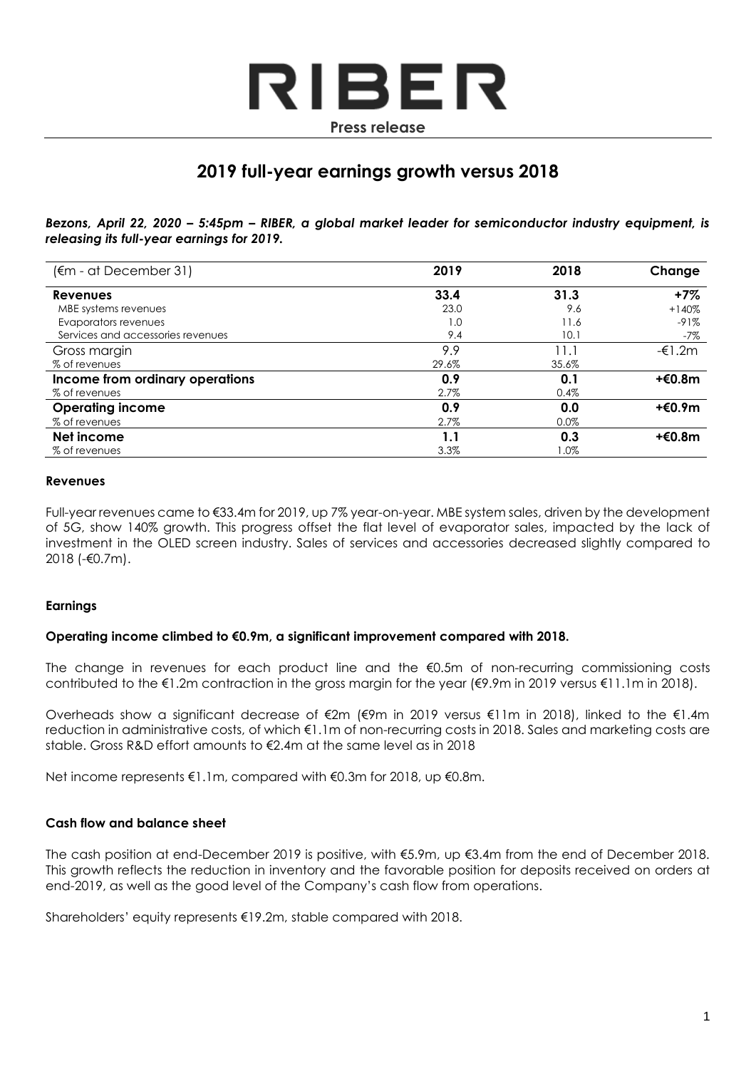

# **2019 full-year earnings growth versus 2018**

*Bezons, April 22, 2020 – 5:45pm – RIBER, a global market leader for semiconductor industry equipment, is releasing its full-year earnings for 2019.*

| (€m - at December 31)             | 2019  | 2018  | Change  |
|-----------------------------------|-------|-------|---------|
| <b>Revenues</b>                   | 33.4  | 31.3  | $+7\%$  |
| MBE systems revenues              | 23.0  | 9.6   | $+140%$ |
| Evaporators revenues              | 1.0   | 11.6  | $-91%$  |
| Services and accessories revenues | 9.4   | 10.1  | -7%     |
| Gross margin                      | 9.9   | 11.1  | -€1.2m  |
| % of revenues                     | 29.6% | 35.6% |         |
| Income from ordinary operations   | 0.9   | 0.1   | +€0.8m  |
| % of revenues                     | 2.7%  | 0.4%  |         |
| <b>Operating income</b>           | 0.9   | 0.0   | +€0.9m  |
| % of revenues                     | 2.7%  | 0.0%  |         |
| Net income                        | 1.1   | 0.3   | +€0.8m  |
| % of revenues                     | 3.3%  | 1.0%  |         |

#### **Revenues**

Full-year revenues came to €33.4m for 2019, up 7% year-on-year. MBE system sales, driven by the development of 5G, show 140% growth. This progress offset the flat level of evaporator sales, impacted by the lack of investment in the OLED screen industry. Sales of services and accessories decreased slightly compared to 2018 (-€0.7m).

#### **Earnings**

#### **Operating income climbed to €0.9m, a significant improvement compared with 2018.**

The change in revenues for each product line and the €0.5m of non-recurring commissioning costs contributed to the €1.2m contraction in the gross margin for the year (€9.9m in 2019 versus €11.1m in 2018).

Overheads show a significant decrease of €2m (€9m in 2019 versus €11m in 2018), linked to the €1.4m reduction in administrative costs, of which €1.1m of non-recurring costs in 2018. Sales and marketing costs are stable. Gross R&D effort amounts to €2.4m at the same level as in 2018

Net income represents €1.1m, compared with €0.3m for 2018, up €0.8m.

### **Cash flow and balance sheet**

The cash position at end-December 2019 is positive, with €5.9m, up €3.4m from the end of December 2018. This growth reflects the reduction in inventory and the favorable position for deposits received on orders at end-2019, as well as the good level of the Company's cash flow from operations.

Shareholders' equity represents €19.2m, stable compared with 2018.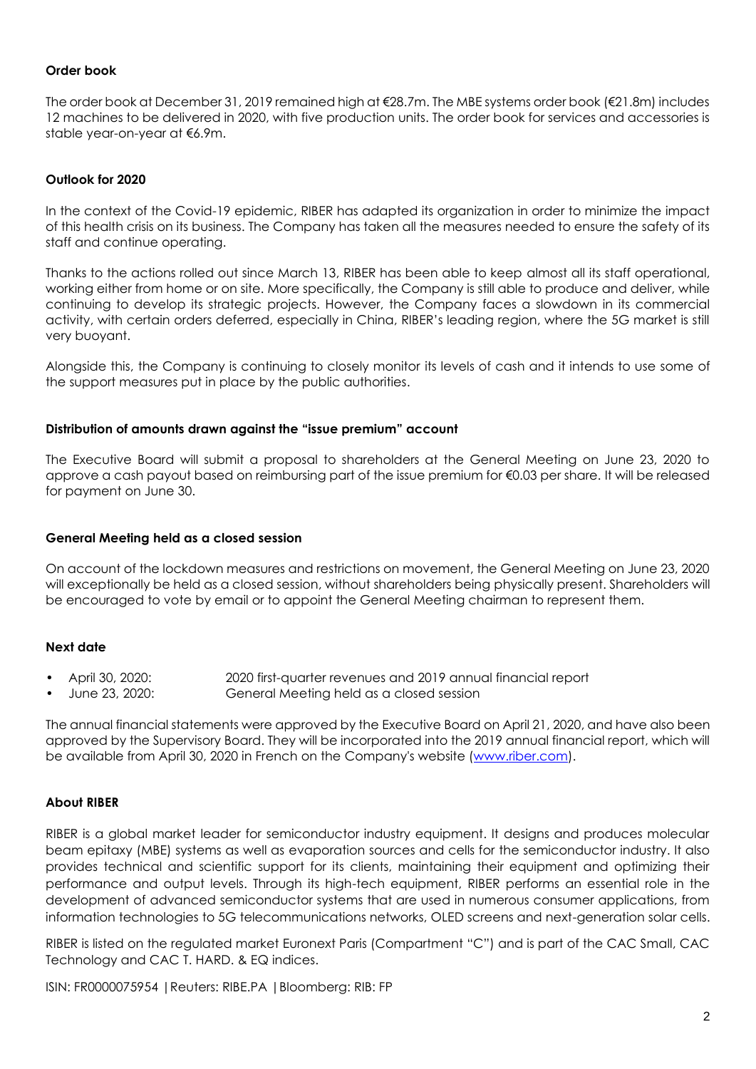## **Order book**

The order book at December 31, 2019 remained high at €28.7m. The MBE systems order book (€21.8m) includes 12 machines to be delivered in 2020, with five production units. The order book for services and accessories is stable year-on-year at €6.9m.

## **Outlook for 2020**

In the context of the Covid-19 epidemic, RIBER has adapted its organization in order to minimize the impact of this health crisis on its business. The Company has taken all the measures needed to ensure the safety of its staff and continue operating.

Thanks to the actions rolled out since March 13, RIBER has been able to keep almost all its staff operational, working either from home or on site. More specifically, the Company is still able to produce and deliver, while continuing to develop its strategic projects. However, the Company faces a slowdown in its commercial activity, with certain orders deferred, especially in China, RIBER's leading region, where the 5G market is still very buoyant.

Alongside this, the Company is continuing to closely monitor its levels of cash and it intends to use some of the support measures put in place by the public authorities.

#### **Distribution of amounts drawn against the "issue premium" account**

The Executive Board will submit a proposal to shareholders at the General Meeting on June 23, 2020 to approve a cash payout based on reimbursing part of the issue premium for €0.03 per share. It will be released for payment on June 30.

#### **General Meeting held as a closed session**

On account of the lockdown measures and restrictions on movement, the General Meeting on June 23, 2020 will exceptionally be held as a closed session, without shareholders being physically present. Shareholders will be encouraged to vote by email or to appoint the General Meeting chairman to represent them.

## **Next date**

- April 30, 2020: 2020 first-quarter revenues and 2019 annual financial report
- June 23, 2020: General Meeting held as a closed session

The annual financial statements were approved by the Executive Board on April 21, 2020, and have also been approved by the Supervisory Board. They will be incorporated into the 2019 annual financial report, which will be available from April 30, 2020 in French on the Company's website [\(www.riber.com\)](http://www.riber.com/).

## **About RIBER**

RIBER is a global market leader for semiconductor industry equipment. It designs and produces molecular beam epitaxy (MBE) systems as well as evaporation sources and cells for the semiconductor industry. It also provides technical and scientific support for its clients, maintaining their equipment and optimizing their performance and output levels. Through its high-tech equipment, RIBER performs an essential role in the development of advanced semiconductor systems that are used in numerous consumer applications, from information technologies to 5G telecommunications networks, OLED screens and next-generation solar cells.

RIBER is listed on the regulated market Euronext Paris (Compartment "C") and is part of the CAC Small, CAC Technology and CAC T. HARD. & EQ indices.

ISIN: FR0000075954 |Reuters: RIBE.PA |Bloomberg: RIB: FP